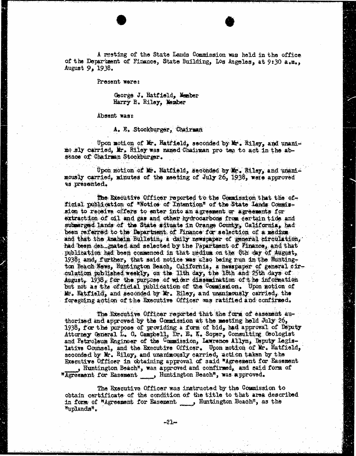A resting of the State Lands Commission was held in the office of the Department of Finance, State Building, Los Angeles, at 9:30 a.m., August 9, 1938.

Present were:

George J. Hatfield, Member Harry B. Riley, Member

Absent wasz

A. E. Stockburger, Chairman

Upon motion of Mr. Hatfield, seconded by Mr. Riley, and unanimo sly carried, Mr. Riley was named Chairman pro ton to act in the absence of Chairman Stockburger.

Upon motion of Mr. Hatfield, seconded by Mr. Riley, and unandmously carried, minutes of the mosting of July 26, 1938, ware approved as presented.

The Executive Officer reported to the Commission that the of-<br>ficial publication of "Notice of Intention" of the State Lands Commission to receive offers to enter into an agreement or agreements for extraction of oil and gas and other hydrocarbons from certain tide and submerged lands of the State situate in Orange County, California, had been referred to the Department of Finance for selection of a medium and that the Anaheim Bulletin, a daily newspaper of general circulation, had been dez inated and selected by the Papartment of Finance, and that publication had been commenced in that mediuma on the 8th day of August, 1938; and, further, that said notice was also being run in the Huntington Beach News, Huntington Beach, California, 2 newspaper of general circulation published weekly, on the 11th day, the 18th and 25th days of August, 1938, for the purpose of wider dissemination of the information but not as the official publication of the Commission. Upon motion of Mr. Hatfield, and seconded by If. Riley, and unanimously carried, the foregoing action of the Executive Officer was ratified and confirmed.

The Executive Officer reported that the form of easement authorized and approved by the Commission at the meeting held July 26, 1938, for the purpose of providing a form of bid, had approval of Deputy Attorney General L. G. Campbell, Dr. E. K. Soper, Consulting Geologist and Petroleum Engineer of the Commission, Lawrence Allyn, Deputy Legislative Counsel, and the Executive Officer. Upon motion of Mr. Hatfield, seconded by Mr. Riley, and unanimously carried, action taken by the Executive Officer in obtaining approval of said "Agreement for Easement"

, Huntington Beach", was approved and confirmed, and said form of "Agreement for Easement , Huntington Beach", was approved.

The Executive Officer was instructed by the Commission to obtain certificate of the condition of the title to that area described in form of "Agreement for Easement  $\qquad \qquad$  Huntington Beach", as the "uplands".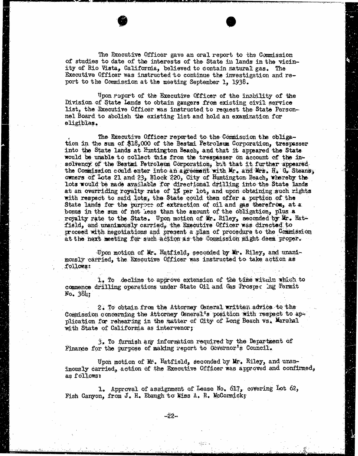The Executive Officer gave an oral report to the Commission of studies to date of the interests of the Stats in lands in the vicinity of Rio Vista, California, believed to contain natural gas. The Executive Officer was instructed to continue the investigation and report to the Commission at the meeting September 1, 1938.

Upon report of the Executive Officer of the inability of the Division of State Lands to obtain gaugers from existing civil service list, the Executive Officer was instructed to request the State Personnel Board to abolish the existing list and hold an examination for eligiblas.

The Executive Officer reported to the Commission the obliga- tion in the sum of \$18,000 of the Bestai Petroleum Corporation, trespasser into the State lands at Huntington Beach, and that it appeared the State would be unable to collect this from the trespasser on account of the insolvency of the Bestmi Petroleum Corporation, but that it further appeared the Commission could enter into an agreement with Mr. and Mrs. H. G. Steans; owners of Lots 21 and 23, Block 220, City of Huntington Beach, whereby the lots would be made available for directional drilling into the State lands at an overriding royalty rate of 1% per lot, and upon obtaining such rights with respect to said lots, the State could then offer a portion of the State lands for the purpose of extraction of oil and gas therefrom, at a bonus in the sum of not Less than the amount of the obligation, plus a royalty rate to the State. Upon motion of Mr. Riley, seconded by Kr. Hatfield, and unanimously carried, the Executive Officer was directed to proceed with negotiations and present a plan of procedure to the Commission at the next meeting for such action as the Commission might deem proper.

Upon motion of Mr. Hatfield, seconded by Mr. Riley, and unanimously carried, the Executive Officer was instructed to take action as followst.

1, To decline to approve extension of the time within which to commence drilling operations under State Oil and Gas Prosper ing Permit No. 384;

2. To obtain from the Attorney General written advice to the Commission concerning the Attorney General's position with respect to application for rehearing in the matter of City of Long Beach vs. Marahal with State of California as intervenor;

3. To furnish ary information required by the Department of Finance for the purpose of making report to Governor's Council.

Upon motion of Mr. Hatfield, seconded by Mr. Riley, and unanimously carried, action of the Executive Officer was approved and confirmed, as follows:

1. Approval of assignment of Lease No. 617, covering Lot 62, Fish Canyon, from  $J$ . H. Ebaugh to Miss A. R. McCormick;